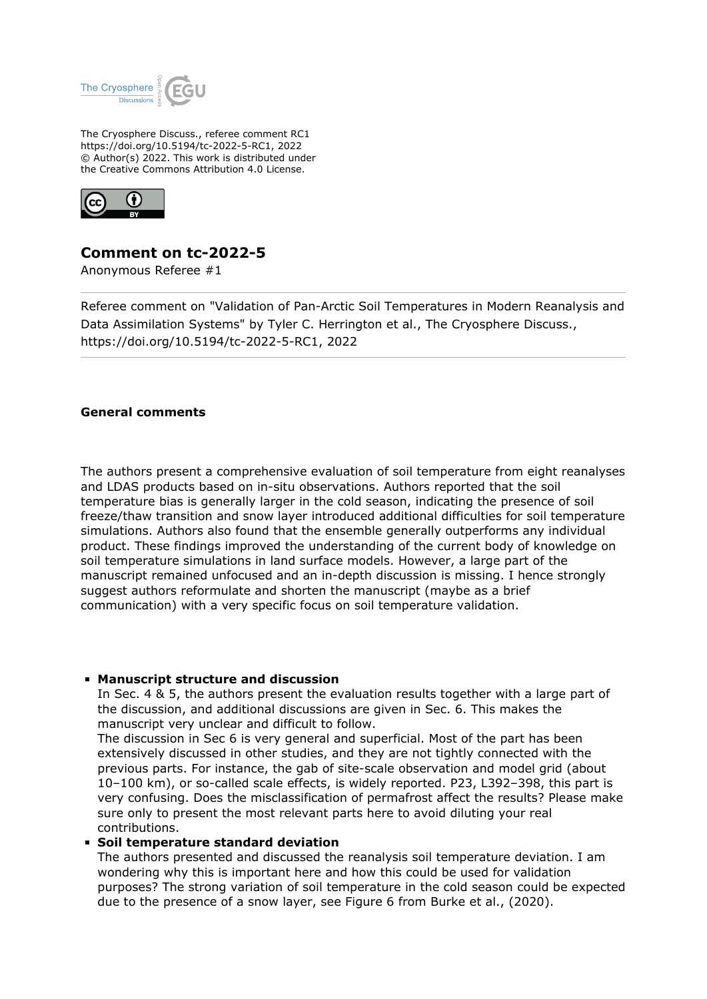

The Cryosphere Discuss., referee comment RC1 https://doi.org/10.5194/tc-2022-5-RC1, 2022 © Author(s) 2022. This work is distributed under the Creative Commons Attribution 4.0 License.



# **Comment on tc-2022-5**

Anonymous Referee #1

Referee comment on "Validation of Pan-Arctic Soil Temperatures in Modern Reanalysis and Data Assimilation Systems" by Tyler C. Herrington et al., The Cryosphere Discuss., https://doi.org/10.5194/tc-2022-5-RC1, 2022

### **General comments**

The authors present a comprehensive evaluation of soil temperature from eight reanalyses and LDAS products based on in-situ observations. Authors reported that the soil temperature bias is generally larger in the cold season, indicating the presence of soil freeze/thaw transition and snow layer introduced additional difficulties for soil temperature simulations. Authors also found that the ensemble generally outperforms any individual product. These findings improved the understanding of the current body of knowledge on soil temperature simulations in land surface models. However, a large part of the manuscript remained unfocused and an in-depth discussion is missing. I hence strongly suggest authors reformulate and shorten the manuscript (maybe as a brief communication) with a very specific focus on soil temperature validation.

#### **Manuscript structure and discussion**

In Sec. 4 & 5, the authors present the evaluation results together with a large part of the discussion, and additional discussions are given in Sec. 6. This makes the manuscript very unclear and difficult to follow.

The discussion in Sec 6 is very general and superficial. Most of the part has been extensively discussed in other studies, and they are not tightly connected with the previous parts. For instance, the gab of site-scale observation and model grid (about 10–100 km), or so-called scale effects, is widely reported. P23, L392–398, this part is very confusing. Does the misclassification of permafrost affect the results? Please make sure only to present the most relevant parts here to avoid diluting your real contributions.

#### **Soil temperature standard deviation**

The authors presented and discussed the reanalysis soil temperature deviation. I am wondering why this is important here and how this could be used for validation purposes? The strong variation of soil temperature in the cold season could be expected due to the presence of a snow layer, see Figure 6 from Burke et al., (2020).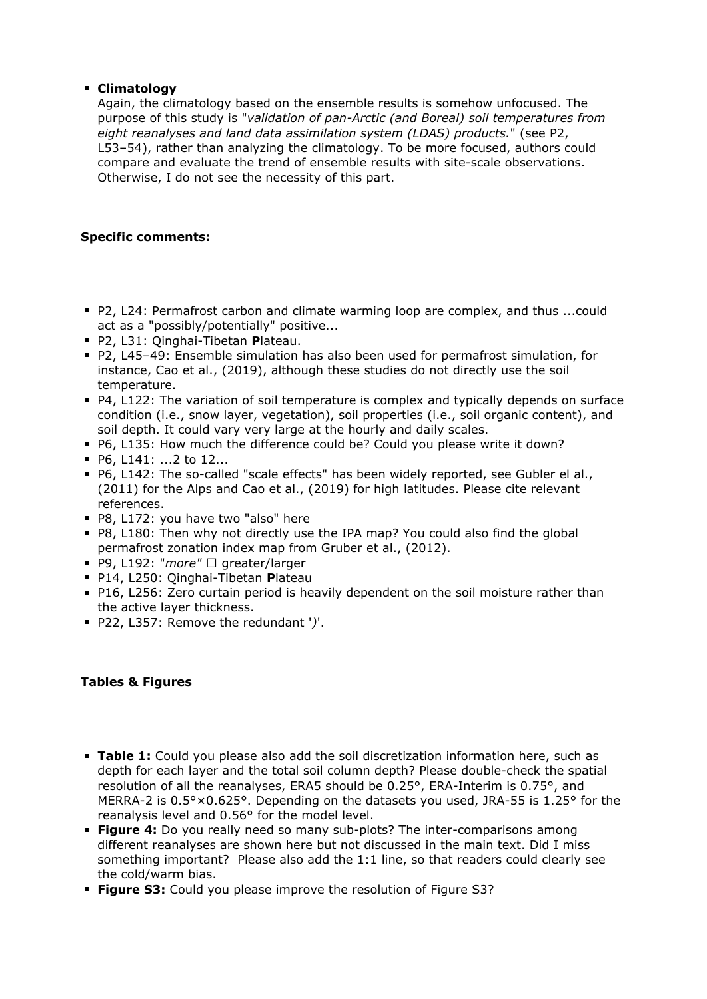# **Climatology**

Again, the climatology based on the ensemble results is somehow unfocused. The purpose of this study is "*validation of pan-Arctic (and Boreal) soil temperatures from eight reanalyses and land data assimilation system (LDAS) products.*" (see P2, L53–54), rather than analyzing the climatology. To be more focused, authors could compare and evaluate the trend of ensemble results with site-scale observations. Otherwise, I do not see the necessity of this part.

# **Specific comments:**

- P2, L24: Permafrost carbon and climate warming loop are complex, and thus ...could act as a "possibly/potentially" positive...
- P2, L31: Qinghai-Tibetan **P**lateau.
- P2, L45–49: Ensemble simulation has also been used for permafrost simulation, for instance, Cao et al., (2019), although these studies do not directly use the soil temperature.
- P4, L122: The variation of soil temperature is complex and typically depends on surface condition (i.e., snow layer, vegetation), soil properties (i.e., soil organic content), and soil depth. It could vary very large at the hourly and daily scales.
- P6, L135: How much the difference could be? Could you please write it down?
- P6, L141: ...2 to 12...
- P6, L142: The so-called "scale effects" has been widely reported, see Gubler el al., (2011) for the Alps and Cao et al., (2019) for high latitudes. Please cite relevant references.
- P8, L172: you have two "also" here
- P8, L180: Then why not directly use the IPA map? You could also find the global permafrost zonation index map from Gruber et al., (2012).
- P9, L192: "*more"* □ greater/larger
- P14, L250: Qinghai-Tibetan **P**lateau
- P16, L256: Zero curtain period is heavily dependent on the soil moisture rather than the active layer thickness.
- P22, L357: Remove the redundant '*)*'.

# **Tables & Figures**

- **Table 1:** Could you please also add the soil discretization information here, such as depth for each layer and the total soil column depth? Please double-check the spatial resolution of all the reanalyses, ERA5 should be 0.25°, ERA-Interim is 0.75°, and MERRA-2 is 0.5°×0.625°. Depending on the datasets you used, JRA-55 is 1.25° for the reanalysis level and 0.56° for the model level.
- **Figure 4:** Do you really need so many sub-plots? The inter-comparisons among different reanalyses are shown here but not discussed in the main text. Did I miss something important? Please also add the 1:1 line, so that readers could clearly see the cold/warm bias.
- **Figure S3:** Could you please improve the resolution of Figure S3?